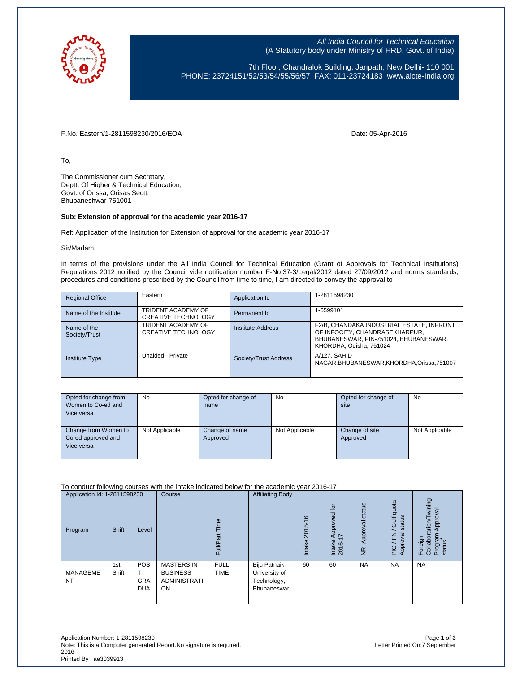

All India Council for Technical Education (A Statutory body under Ministry of HRD, Govt. of India)

7th Floor, Chandralok Building, Janpath, New Delhi- 110 001 PHONE: 23724151/52/53/54/55/56/57 FAX: 011-23724183 [www.aicte-India.org](http://www.aicte-india.org/)

F.No. Eastern/1-2811598230/2016/EOA Date: 05-Apr-2016

To,

The Commissioner cum Secretary, Deptt. Of Higher & Technical Education, Govt. of Orissa, Orisas Sectt. Bhubaneshwar-751001

## **Sub: Extension of approval for the academic year 2016-17**

Ref: Application of the Institution for Extension of approval for the academic year 2016-17

Sir/Madam,

In terms of the provisions under the All India Council for Technical Education (Grant of Approvals for Technical Institutions) Regulations 2012 notified by the Council vide notification number F-No.37-3/Legal/2012 dated 27/09/2012 and norms standards, procedures and conditions prescribed by the Council from time to time, I am directed to convey the approval to

| <b>Regional Office</b>       | Eastern                                          | Application Id        | 1-2811598230                                                                                                                                    |
|------------------------------|--------------------------------------------------|-----------------------|-------------------------------------------------------------------------------------------------------------------------------------------------|
| Name of the Institute        | TRIDENT ACADEMY OF<br><b>CREATIVE TECHNOLOGY</b> | Permanent Id          | 1-6599101                                                                                                                                       |
| Name of the<br>Society/Trust | TRIDENT ACADEMY OF<br><b>CREATIVE TECHNOLOGY</b> | Institute Address     | F2/B, CHANDAKA INDUSTRIAL ESTATE, INFRONT<br>OF INFOCITY, CHANDRASEKHARPUR,<br>BHUBANESWAR, PIN-751024, BHUBANESWAR,<br>KHORDHA, Odisha, 751024 |
| <b>Institute Type</b>        | Unaided - Private                                | Society/Trust Address | A/127, SAHID<br>NAGAR, BHUBANESWAR, KHORDHA, Orissa, 751007                                                                                     |

| Opted for change from | No             | Opted for change of | <b>No</b>      | Opted for change of | <b>No</b>      |
|-----------------------|----------------|---------------------|----------------|---------------------|----------------|
| Women to Co-ed and    |                | name                |                | site                |                |
| Vice versa            |                |                     |                |                     |                |
|                       |                |                     |                |                     |                |
| Change from Women to  | Not Applicable | Change of name      | Not Applicable | Change of site      | Not Applicable |
| Co-ed approved and    |                | Approved            |                | Approved            |                |
| Vice versa            |                |                     |                |                     |                |
|                       |                |                     |                |                     |                |

To conduct following courses with the intake indicated below for the academic year 2016-17

| Application Id: 1-2811598230<br>Program | <b>Shift</b> | Level                                  | Course                                                                   | $\omega$<br>Ĕ.<br>Full     | <b>Affiliating Body</b>                                     | $\frac{6}{5}$<br>2015<br>Intake | <b>b</b><br>Approved<br>$\overline{ }$<br>Intake<br>2016- | NRI Approval status | quota<br>status<br><b>Gulf</b><br>준<br>ब्र<br>PIO/F<br>Appro | wining<br>Approval<br>arion/<br>Foreign<br>Collabor<br>Program<br>status |
|-----------------------------------------|--------------|----------------------------------------|--------------------------------------------------------------------------|----------------------------|-------------------------------------------------------------|---------------------------------|-----------------------------------------------------------|---------------------|--------------------------------------------------------------|--------------------------------------------------------------------------|
| <b>MANAGEME</b><br><b>NT</b>            | 1st<br>Shift | <b>POS</b><br><b>GRA</b><br><b>DUA</b> | <b>MASTERS IN</b><br><b>BUSINESS</b><br><b>ADMINISTRATI</b><br><b>ON</b> | <b>FULL</b><br><b>TIME</b> | Biju Patnaik<br>University of<br>Technology,<br>Bhubaneswar | 60                              | 60                                                        | <b>NA</b>           | <b>NA</b>                                                    | <b>NA</b>                                                                |

Application Number: 1-2811598230 Page **1** of **3** Note: This is a Computer generated Report. No signature is required. 2016 Printed By : ae3039913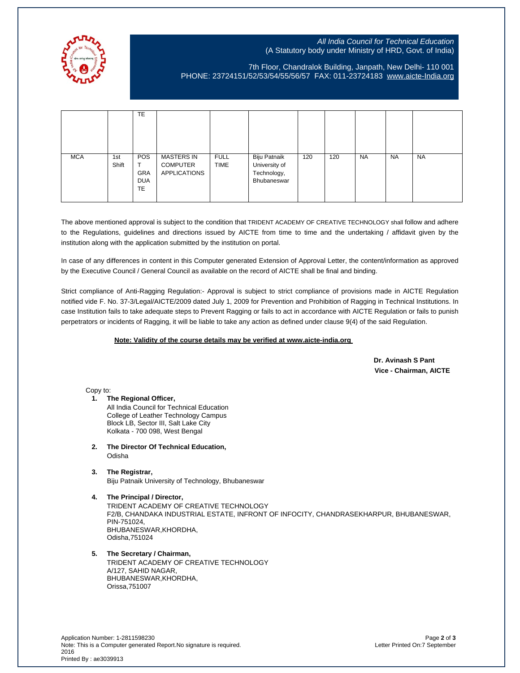

## All India Council for Technical Education (A Statutory body under Ministry of HRD, Govt. of India)

7th Floor, Chandralok Building, Janpath, New Delhi- 110 001 PHONE: 23724151/52/53/54/55/56/57 FAX: 011-23724183 [www.aicte-India.org](http://www.aicte-india.org/)

|            |              | TE                                                  |                                                      |                            |                                                             |     |     |           |           |           |
|------------|--------------|-----------------------------------------------------|------------------------------------------------------|----------------------------|-------------------------------------------------------------|-----|-----|-----------|-----------|-----------|
| <b>MCA</b> | 1st<br>Shift | <b>POS</b><br><b>GRA</b><br><b>DUA</b><br><b>TE</b> | MASTERS IN<br><b>COMPUTER</b><br><b>APPLICATIONS</b> | <b>FULL</b><br><b>TIME</b> | Biju Patnaik<br>University of<br>Technology,<br>Bhubaneswar | 120 | 120 | <b>NA</b> | <b>NA</b> | <b>NA</b> |

The above mentioned approval is subject to the condition that TRIDENT ACADEMY OF CREATIVE TECHNOLOGY shall follow and adhere to the Regulations, guidelines and directions issued by AICTE from time to time and the undertaking / affidavit given by the institution along with the application submitted by the institution on portal.

In case of any differences in content in this Computer generated Extension of Approval Letter, the content/information as approved by the Executive Council / General Council as available on the record of AICTE shall be final and binding.

Strict compliance of Anti-Ragging Regulation:- Approval is subject to strict compliance of provisions made in AICTE Regulation notified vide F. No. 37-3/Legal/AICTE/2009 dated July 1, 2009 for Prevention and Prohibition of Ragging in Technical Institutions. In case Institution fails to take adequate steps to Prevent Ragging or fails to act in accordance with AICTE Regulation or fails to punish perpetrators or incidents of Ragging, it will be liable to take any action as defined under clause 9(4) of the said Regulation.

## **Note: Validity of the course details may be verified at www.aicte-india.org**

 **Dr. Avinash S Pant Vice - Chairman, AICTE**

Copy to:

**1. The Regional Officer,** All India Council for Technical Education College of Leather Technology Campus Block LB, Sector III, Salt Lake City Kolkata - 700 098, West Bengal

- **2. The Director Of Technical Education,** Odisha
- **3. The Registrar,**

Biju Patnaik University of Technology, Bhubaneswar

**4. The Principal / Director,** TRIDENT ACADEMY OF CREATIVE TECHNOLOGY F2/B, CHANDAKA INDUSTRIAL ESTATE, INFRONT OF INFOCITY, CHANDRASEKHARPUR, BHUBANESWAR, PIN-751024, BHUBANESWAR,KHORDHA, Odisha,751024

## **5. The Secretary / Chairman,**

TRIDENT ACADEMY OF CREATIVE TECHNOLOGY A/127, SAHID NAGAR, BHUBANESWAR,KHORDHA, Orissa,751007

Application Number: 1-2811598230 Page **2** of **3** Note: This is a Computer generated Report.No signature is required. 2016 Printed By : ae3039913